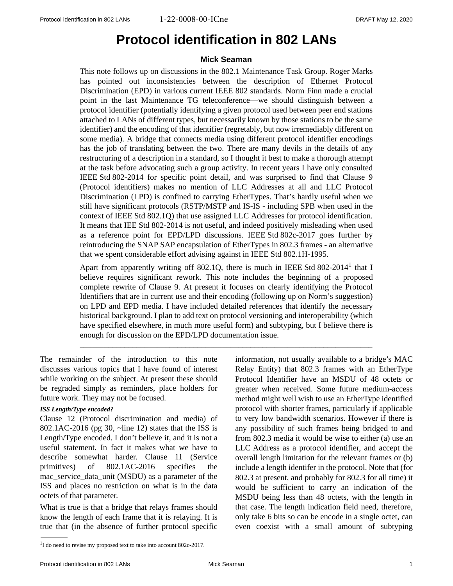# <span id="page-0-2"></span>**Protocol identification in 802 LANs**

# <span id="page-0-1"></span>**Mick Seaman**

<span id="page-0-0"></span>This note follows up on discussions in the 802.1 Maintenance Task Group. Roger Marks has pointed out inconsistencies between the description of Ethernet Protocol Discrimination (EPD) in various current IEEE 802 standards. Norm Finn made a crucial point in the last Maintenance TG teleconference—we should distinguish between a protocol identifier (potentially identifying a given protocol used between peer end stations attached to LANs of different types, but necessarily known by those stations to be the same identifier) and the encoding of that identifier (regretably, but now irremediably different on some media). A bridge that connects media using different protocol identifier encodings has the job of translating between the two. There are many devils in the details of any restructuring of a description in a standard, so I thought it best to make a thorough attempt at the task before advocating such a group activity. In recent years I have only consulted IEEE Std 802-2014 for specific point detail, and was surprised to find that Clause 9 (Protocol identifiers) makes no mention of LLC Addresses at all and LLC Protocol Discrimination (LPD) is confined to carrying EtherTypes. That's hardly useful when we still have significant protocols (RSTP/MSTP and IS-IS - including SPB when used in the context of IEEE Std 802.1Q) that use assigned LLC Addresses for protocol identification. It means that IEE Std 802-2014 is not useful, and indeed positively misleading when used as a reference point for EPD/LPD discussions. IEEE Std 802c-2017 goes further by reintroducing the SNAP SAP encapsulation of EtherTypes in 802.3 frames - an alternative that we spent considerable effort advising against in IEEE Std 802.1H-1995.

Apart from apparently writing off 802.1Q, there is much in IEEE Std 802-2014<sup>1</sup> that I believe requires significant rework. This note includes the beginning of a proposed complete rewrite of Clause 9. At present it focuses on clearly identifying the Protocol Identifiers that are in current use and their encoding (following up on Norm's suggestion) on LPD and EPD media. I have included detailed references that identify the necessary historical background. I plan to add text on protocol versioning and interoperability (which have specified elsewhere, in much more useful form) and subtyping, but I believe there is enough for discussion on the EPD/LPD documentation issue.

\_\_\_\_\_\_\_\_\_\_\_\_\_\_\_\_\_\_\_\_\_\_\_\_\_\_\_\_\_\_\_\_\_\_\_\_\_\_\_\_\_\_\_\_\_\_\_\_\_\_\_\_\_\_\_\_\_\_\_\_\_\_\_\_\_\_\_\_\_\_\_\_

The remainder of the introduction to this note discusses various topics that I have found of interest while working on the subject. At present these should be regraded simply as reminders, place holders for future work. They may not be focused.

## *ISS Length/Type encoded?*

Clause 12 (Protocol discrimination and media) of 802.1AC-2016 (pg 30, ~line 12) states that the ISS is Length/Type encoded. I don't believe it, and it is not a useful statement. In fact it makes what we have to describe somewhat harder. Clause 11 (Service primitives) of 802.1AC-2016 specifies the mac\_service\_data\_unit (MSDU) as a parameter of the ISS and places no restriction on what is in the data octets of that parameter.

What is true is that a bridge that relays frames should know the length of each frame that it is relaying. It is true that (in the absence of further protocol specific

information, not usually available to a bridge's MAC Relay Entity) that 802.3 frames with an EtherType Protocol Identifier have an MSDU of 48 octets or greater when received. Some future medium-access method might well wish to use an EtherType identified protocol with shorter frames, particularly if applicable to very low bandwidth scenarios. However if there is any possibility of such frames being bridged to and from 802.3 media it would be wise to either (a) use an LLC Address as a protocol identifier, and accept the overall length limitation for the relevant frames or (b) include a length identifer in the protocol. Note that (for 802.3 at present, and probably for 802.3 for all time) it would be sufficient to carry an indication of the MSDU being less than 48 octets, with the length in that case. The length indication field need, therefore, only take 6 bits so can be encode in a single octet, can even coexist with a small amount of subtyping

<span id="page-0-3"></span> $1$ I do need to revise my proposed text to take into account 802c-2017.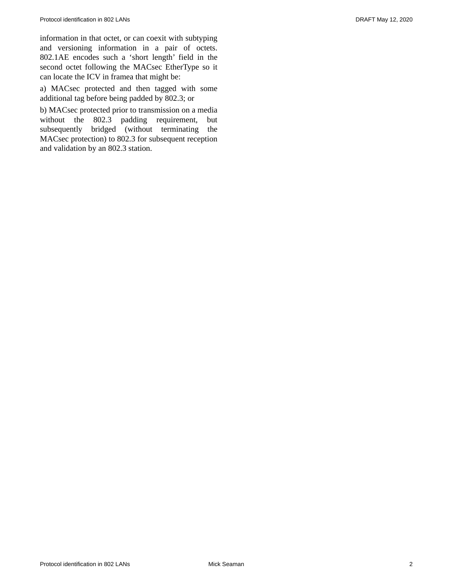information in that octet, or can coexit with subtyping and versioning information in a pair of octets. 802.1AE encodes such a 'short length' field in the second octet following the MACsec EtherType so it can locate the ICV in framea that might be:

a) MACsec protected and then tagged with some additional tag before being padded by 802.3; or

b) MACsec protected prior to transmission on a media without the 802.3 padding requirement, but subsequently bridged (without terminating the MACsec protection) to 802.3 for subsequent reception and validation by an 802.3 station.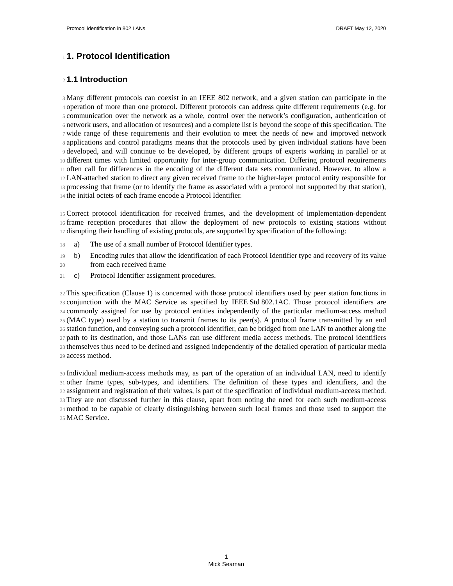# <span id="page-2-0"></span>**1. Protocol Identification** 1

# **1.1 Introduction** 2

Many different protocols can coexist in an IEEE 802 network, and a given station can participate in the 3 4 operation of more than one protocol. Different protocols can address quite different requirements (e.g. for communication over the network as a whole, control over the network's configuration, authentication of 5 network users, and allocation of resources) and a complete list is beyond the scope of this specification. The 6 7 wide range of these requirements and their evolution to meet the needs of new and improved network s applications and control paradigms means that the protocols used by given individual stations have been I developed, and will continue to be developed, by different groups of experts working in parallel or at different times with limited opportunity for inter-group communication. Differing protocol requirements 10 often call for differences in the encoding of the different data sets communicated. However, to allow a 11 LAN-attached station to direct any given received frame to the higher-layer protocol entity responsible for 12 13 processing that frame (or to identify the frame as associated with a protocol not supported by that station), 14 the initial octets of each frame encode a Protocol Identifier.

Correct protocol identification for received frames, and the development of implementation-dependent 15 frame reception procedures that allow the deployment of new protocols to existing stations without 16 disrupting their handling of existing protocols, are supported by specification of the following: 17

- a) The use of a small number of Protocol Identifier types. 18
- b) Encoding rules that allow the identification of each Protocol Identifier type and recovery of its value from each received frame 19 20
- c) Protocol Identifier assignment procedures. 21

This specification [\(Clause 1](#page-2-0)) is concerned with those protocol identifiers used by peer station functions in 22 23 conjunction with the MAC Service as specified by IEEE Std 802.1AC. Those protocol identifiers are commonly assigned for use by protocol entities independently of the particular medium-access method 24 (MAC type) used by a station to transmit frames to its peer(s). A protocol frame transmitted by an end 25 26 station function, and conveying such a protocol identifier, can be bridged from one LAN to another along the path to its destination, and those LANs can use different media access methods. The protocol identifiers 27 28 themselves thus need to be defined and assigned independently of the detailed operation of particular media access method. 29

Individual medium-access methods may, as part of the operation of an individual LAN, need to identify 30 other frame types, sub-types, and identifiers. The definition of these types and identifiers, and the 31 32 assignment and registration of their values, is part of the specification of individual medium-access method. They are not discussed further in this clause, apart from noting the need for each such medium-access 33 method to be capable of clearly distinguishing between such local frames and those used to support the 34 35 MAC Service.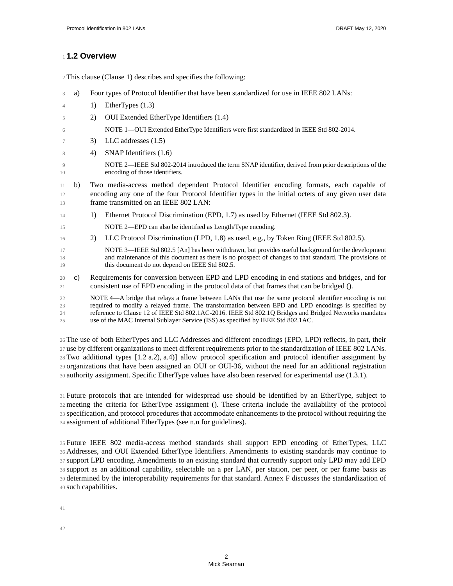# <span id="page-3-0"></span>**1.2 Overview** 1

This clause [\(Clause 1\)](#page-2-0) describes and specifies the following: 2

<span id="page-3-3"></span><span id="page-3-2"></span><span id="page-3-1"></span>a) Four types of Protocol Identifier that have been standardized for use in IEEE 802 LANs: 1) EtherTypes [\(1.3\)](#page-4-0) 2) OUI Extended EtherType Identifiers [\(1.4\)](#page-5-0) NOTE 1—OUI Extended EtherType Identifiers were first standardized in IEEE Std 802-2014. 3) LLC addresses [\(1.5\)](#page-6-0) 4) SNAP Identifiers ([1.6](#page-7-0)) NOTE 2—IEEE Std 802-2014 introduced the term SNAP identifier, derived from prior descriptions of the encoding of those identifiers. b) Two media-access method dependent Protocol Identifier encoding formats, each capable of encoding any one of the four Protocol Identifier types in the initial octets of any given user data frame transmitted on an IEEE 802 LAN: 1) Ethernet Protocol Discrimination (EPD, [1.7\)](#page-8-0) as used by Ethernet (IEEE Std 802.3). NOTE 2—EPD can also be identified as Length/Type encoding. 2) LLC Protocol Discrimination (LPD, [1.8\)](#page-12-0) as used, e.g., by Token Ring (IEEE Std 802.5). NOTE 3—IEEE Std 802.5 [An] has been withdrawn, but provides useful background for the development and maintenance of this document as there is no prospect of changes to that standard. The provisions of this document do not depend on IEEE Std 802.5. c) Requirements for conversion between EPD and LPD encoding in end stations and bridges, and for consistent use of EPD encoding in the protocol data of that frames that can be bridged (). NOTE 4—A bridge that relays a frame between LANs that use the same protocol identifier encoding is not required to modify a relayed frame. The transformation between EPD and LPD encodings is specified by reference to Clause 12 of IEEE Std 802.1AC-2016. IEEE Std 802.1Q Bridges and Bridged Networks mandates use of the MAC Internal Sublayer Service (ISS) as specified by IEEE Std 802.1AC. 3 4 5 6 7 8  $\overline{a}$ 10 11 12 13 14 15 16 17 18 19 20 21 22 23 24  $25$ 

The use of both EtherTypes and LLC Addresses and different encodings (EPD, LPD) reflects, in part, their 26 27 use by different organizations to meet different requirements prior to the standardization of IEEE 802 LANs. Two additional types [[1.2](#page-3-0) [a.](#page-3-1)[2\),](#page-3-2) [a.](#page-3-1)[4\)](#page-3-3)] allow protocol specification and protocol identifier assignment by 28 organizations that have been assigned an OUI or OUI-36, without the need for an additional registration 29 authority assignment. Specific EtherType values have also been reserved for experimental use [\(1.3.1\)](#page-4-1). 30

Future protocols that are intended for widespread use should be identified by an EtherType, subject to 31 meeting the criteria for EtherType assignment (). These criteria include the availability of the protocol 32 33 specification, and protocol procedures that accommodate enhancements to the protocol without requiring the 34 assignment of additional EtherTypes (see n.n for guidelines).

Future IEEE 802 media-access method standards shall support EPD encoding of EtherTypes, LLC 35 Addresses, and OUI Extended EtherType Identifiers. Amendments to existing standards may continue to 36 37 support LPD encoding. Amendments to an existing standard that currently support only LPD may add EPD 38 support as an additional capability, selectable on a per LAN, per station, per peer, or per frame basis as determined by the interoperability requirements for that standard. Annex F discusses the standardization of 39 such capabilities. 40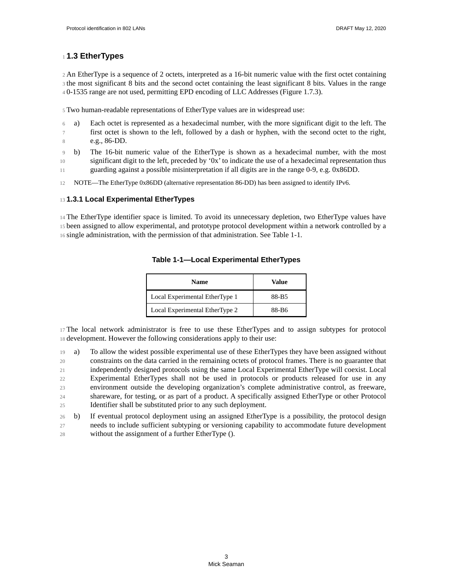# <span id="page-4-0"></span>**1.3 EtherTypes** 1

2 An EtherType is a sequence of 2 octets, interpreted as a 16-bit numeric value with the first octet containing 3 the most significant 8 bits and the second octet containing the least significant 8 bits. Values in the range 0-1535 range are not used, permitting EPD encoding of LLC Addresses ([Figure 1.7.3\)](#page-10-0). 4

Two human-readable representations of EtherType values are in widespread use: 5

- a) Each octet is represented as a hexadecimal number, with the more significant digit to the left. The first octet is shown to the left, followed by a dash or hyphen, with the second octet to the right, 6 7 8
- e.g., 86-DD.
- b) The 16-bit numeric value of the EtherType is shown as a hexadecimal number, with the most significant digit to the left, preceded by '0x' to indicate the use of a hexadecimal representation thus guarding against a possible misinterpretation if all digits are in the range 0-9, e.g. 0x86DD. 9 10 11
- NOTE—The EtherType 0x86DD (alternative representation 86-DD) has been assigned to identify IPv6. 12

# <span id="page-4-1"></span>**1.3.1 Local Experimental EtherTypes** 13

14 The EtherType identifier space is limited. To avoid its unnecessary depletion, two EtherType values have been assigned to allow experimental, and prototype protocol development within a network controlled by a 15 single administration, with the permission of that administration. See Table 1-1. 16

| <b>Name</b>                    | Value |
|--------------------------------|-------|
| Local Experimental EtherType 1 | 88-B5 |
| Local Experimental EtherType 2 | 88-B6 |

## **Table 1-1—Local Experimental EtherTypes**

The local network administrator is free to use these EtherTypes and to assign subtypes for protocol 17 18 development. However the following considerations apply to their use:

a) To allow the widest possible experimental use of these EtherTypes they have been assigned without constraints on the data carried in the remaining octets of protocol frames. There is no guarantee that independently designed protocols using the same Local Experimental EtherType will coexist. Local Experimental EtherTypes shall not be used in protocols or products released for use in any environment outside the developing organization's complete administrative control, as freeware, shareware, for testing, or as part of a product. A specifically assigned EtherType or other Protocol Identifier shall be substituted prior to any such deployment. 19 20 21 22 23 24 25

b) If eventual protocol deployment using an assigned EtherType is a possibility, the protocol design needs to include sufficient subtyping or versioning capability to accommodate future development without the assignment of a further EtherType (). 26 27 28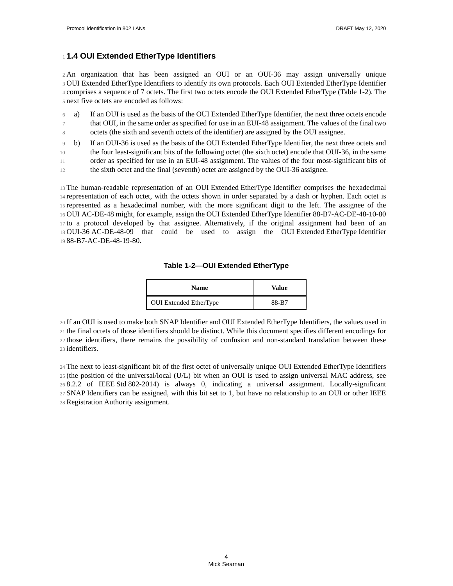# <span id="page-5-0"></span>**1.4 OUI Extended EtherType Identifiers** 1

2 An organization that has been assigned an OUI or an OUI-36 may assign universally unique OUI Extended EtherType Identifiers to identify its own protocols. Each OUI Extended EtherType Identifier 3 comprises a sequence of 7 octets. The first two octets encode the OUI Extended EtherType [\(Table 1-2](#page-5-1)). The 4 next five octets are encoded as follows: 5

- a) If an OUI is used as the basis of the OUI Extended EtherType Identifier, the next three octets encode that OUI, in the same order as specified for use in an EUI-48 assignment. The values of the final two octets (the sixth and seventh octets of the identifier) are assigned by the OUI assignee. 6 7 8
- b) If an OUI-36 is used as the basis of the OUI Extended EtherType Identifier, the next three octets and the four least-significant bits of the following octet (the sixth octet) encode that OUI-36, in the same order as specified for use in an EUI-48 assignment. The values of the four most-significant bits of 9 10 11
- the sixth octet and the final (seventh) octet are assigned by the OUI-36 assignee. 12

The human-readable representation of an OUI Extended EtherType Identifier comprises the hexadecimal 13 14 representation of each octet, with the octets shown in order separated by a dash or hyphen. Each octet is 15 represented as a hexadecimal number, with the more significant digit to the left. The assignee of the OUI AC-DE-48 might, for example, assign the OUI Extended EtherType Identifier 88-B7-AC-DE-48-10-80 16 17 to a protocol developed by that assignee. Alternatively, if the original assignment had been of an 18 OUI-36 AC-DE-48-09 that could be used to assign the OUI Extended EtherType Identifier 88-B7-AC-DE-48-19-80. 19

#### **Table 1-2—OUI Extended EtherType**

| <b>Name</b>                   | Value |
|-------------------------------|-------|
| <b>OUI</b> Extended EtherType | 88-B7 |

<span id="page-5-1"></span>If an OUI is used to make both SNAP Identifier and OUI Extended EtherType Identifiers, the values used in 20 the final octets of those identifiers should be distinct. While this document specifies different encodings for 21 22 those identifiers, there remains the possibility of confusion and non-standard translation between these 23 identifiers.

The next to least-significant bit of the first octet of universally unique OUI Extended EtherType Identifiers 24 (the position of the universal/local (U/L) bit when an OUI is used to assign universal MAC address, see 25 8.2.2 of IEEE Std 802-2014) is always 0, indicating a universal assignment. Locally-significant 26 SNAP Identifiers can be assigned, with this bit set to 1, but have no relationship to an OUI or other IEEE 27 Registration Authority assignment. 28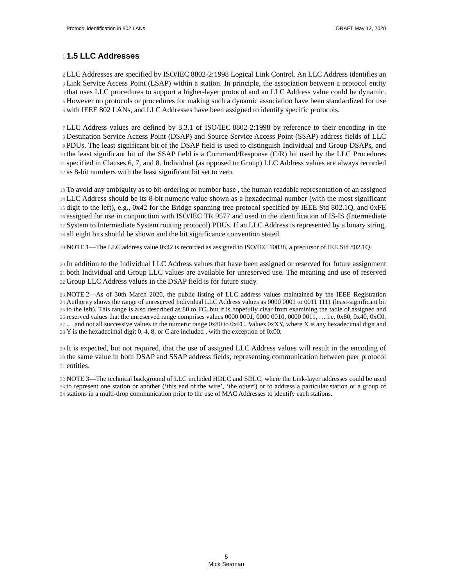# <span id="page-6-0"></span>**1.5 LLC Addresses** 1

LLC Addresses are specified by ISO/IEC 8802-2:1998 Logical Link Control. An LLC Address identifies an 2 3 Link Service Access Point (LSAP) within a station. In principle, the association between a protocol entity 4 that uses LLC procedures to support a higher-layer protocol and an LLC Address value could be dynamic. <sup>5</sup> However no protocols or procedures for making such a dynamic association have been standardized for use with IEEE 802 LANs, and LLC Addresses have been assigned to identify specific protocols. 6

LLC Address values are defined by 3.3.1 of ISO/IEC 8802-2:1998 by reference to their encoding in the 7 Destination Service Access Point (DSAP) and Source Service Access Point (SSAP) address fields of LLC 8 PDUs. The least significant bit of the DSAP field is used to distinguish Individual and Group DSAPs, and 9  $10$  the least significant bit of the SSAP field is a Command/Response (C/R) bit used by the LLC Procedures specified in Clauses 6, 7, and 8. Individual (as opposed to Group) LLC Address values are always recorded 11 12 as 8-bit numbers with the least significant bit set to zero.

To avoid any ambiguity as to bit-ordering or number base , the human readable representation of an assigned 13 LLC Address should be its 8-bit numeric value shown as a hexadecimal number (with the most significant 14 15 digit to the left), e.g., 0x42 for the Bridge spanning tree protocol specified by IEEE Std 802.1Q, and 0xFE assigned for use in conjunction with ISO/IEC TR 9577 and used in the identification of IS-IS (Intermediate 16 System to Intermediate System routing protocol) PDUs. If an LLC Address is represented by a binary string, 17 18 all eight bits should be shown and the bit significance convention stated.

NOTE 1—The LLC address value 0x42 is recorded as assigned to ISO/IEC 10038, a precursor of IEE Std 802.1Q. 19

In addition to the Individual LLC Address values that have been assigned or reserved for future assignment 20 both Individual and Group LLC values are available for unreserved use. The meaning and use of reserved 21 22 Group LLC Address values in the DSAP field is for future study.

NOTE 2—As of 30th March 2020, the public listing of LLC address values maintained by the IEEE Registration 23 Authority shows the range of unreserved Individual LLC Address values as 0000 0001 to 0011 1111 (least-significant bit 24 25 to the left). This range is also described as 80 to FC, but it is hopefully clear from examining the table of assigned and  $26$  reserved values that the unreserved range comprises values  $0000\,0001$ ,  $0000\,0010$ ,  $0000\,0011$ , ... i.e.  $0x80$ ,  $0x40$ ,  $0xC0$ ,  $27...$  and not all successive values in the numeric range 0x80 to 0xFC. Values 0xXY, where X is any hexadecimal digit and  $28$  Y is the hexadecimal digit 0, 4, 8, or C are included, with the exception of 0x00.

It is expected, but not required, that the use of assigned LLC Address values will result in the encoding of 29 30 the same value in both DSAP and SSAP address fields, representing communication between peer protocol 31 entities.

NOTE 3—The technical background of LLC included HDLC and SDLC, where the Link-layer addresses could be used 32 33 to represent one station or another ('this end of the wire', 'the other') or to address a particular station or a group of 34 stations in a multi-drop communication prior to the use of MAC Addresses to identify each stations.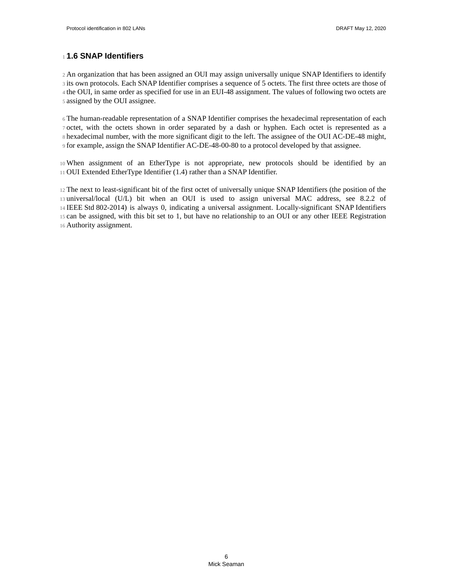# <span id="page-7-0"></span>**1.6 SNAP Identifiers** 1

2 An organization that has been assigned an OUI may assign universally unique SNAP Identifiers to identify 3 its own protocols. Each SNAP Identifier comprises a sequence of 5 octets. The first three octets are those of 4 the OUI, in same order as specified for use in an EUI-48 assignment. The values of following two octets are assigned by the OUI assignee. 5

The human-readable representation of a SNAP Identifier comprises the hexadecimal representation of each 6 7 octet, with the octets shown in order separated by a dash or hyphen. Each octet is represented as a 8 hexadecimal number, with the more significant digit to the left. The assignee of the OUI AC-DE-48 might, for example, assign the SNAP Identifier AC-DE-48-00-80 to a protocol developed by that assignee. 9

When assignment of an EtherType is not appropriate, new protocols should be identified by an 10 OUI Extended EtherType Identifier [\(1.4\)](#page-5-0) rather than a SNAP Identifier. 11

12 The next to least-significant bit of the first octet of universally unique SNAP Identifiers (the position of the 13 universal/local (U/L) bit when an OUI is used to assign universal MAC address, see 8.2.2 of IEEE Std 802-2014) is always 0, indicating a universal assignment. Locally-significant SNAP Identifiers 14 15 can be assigned, with this bit set to 1, but have no relationship to an OUI or any other IEEE Registration 16 Authority assignment.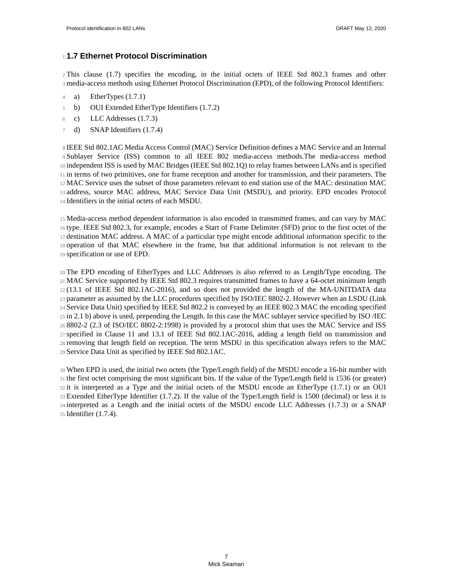# <span id="page-8-0"></span>**1.7 Ethernet Protocol Discrimination** 1

2 This clause [\(1.7\)](#page-8-0) specifies the encoding, in the initial octets of IEEE Std 802.3 frames and other media-access methods using Ethernet Protocol Discrimination (EPD), of the following Protocol Identifiers: 3

- a) EtherTypes [\(1.7.1](#page-9-0)) 4
- b) OUI Extended EtherType Identifiers [\(1.7.2](#page-9-1)) 5
- c) LLC Addresses ([1.7.3\)](#page-10-0) 6
- d) SNAP Identifiers ([1.7.4\)](#page-11-0) 7

8 IEEE Std 802.1AC Media Access Control (MAC) Service Definition defines a MAC Service and an Internal 9 Sublayer Service (ISS) common to all IEEE 802 media-access methods. The media-access method 10 independent ISS is used by MAC Bridges (IEEE Std 802.1Q) to relay frames between LANs and is specified in terms of two primitives, one for frame reception and another for transmission, and their parameters. The 11 MAC Service uses the subset of those parameters relevant to end station use of the MAC: destination MAC 12 13 address, source MAC address, MAC Service Data Unit (MSDU), and priority. EPD encodes Protocol 14 Identifiers in the initial octets of each MSDU.

Media-access method dependent information is also encoded in transmitted frames, and can vary by MAC 15 16 type. IEEE Std 802.3, for example, encodes a Start of Frame Delimiter (SFD) prior to the first octet of the 17 destination MAC address. A MAC of a particular type might encode additional information specific to the 18 operation of that MAC elsewhere in the frame, but that additional information is not relevant to the specification or use of EPD. 19

The EPD encoding of EtherTypes and LLC Addresses is also referred to as Length/Type encoding. The 20 MAC Service supported by IEEE Std 802.3 requires transmitted frames to have a 64-octet minimum length 21 (13.1 of IEEE Std 802.1AC-2016), and so does not provided the length of the MA-UNITDATA data 22 23 parameter as assumed by the LLC procedures specified by ISO/IEC 8802-2. However when an LSDU (Link Service Data Unit) specified by IEEE Std 802.2 is conveyed by an IEEE 802.3 MAC the encoding specified 24  $25$  in 2.1 b) above is used, prepending the Length. In this case the MAC sublayer service specified by ISO /IEC 8802-2 (2.3 of ISO/IEC 8802-2:1998) is provided by a protocol shim that uses the MAC Service and ISS 26 specified in Clause 11 and 13.1 of IEEE Std 802.1AC-2016, adding a length field on transmission and 27 28 removing that length field on reception. The term MSDU in this specification always refers to the MAC Service Data Unit as specified by IEEE Std 802.1AC. 29

When EPD is used, the initial two octets (the Type/Length field) of the MSDU encode a 16-bit number with 30 31 the first octet comprising the most significant bits. If the value of the Type/Length field is 1536 (or greater) 32 it is interpreted as a Type and the initial octets of the MSDU encode an EtherType ([1.7.1\)](#page-9-0) or an OUI Extended EtherType Identifier ([1.7.2\)](#page-9-1). If the value of the Type/Length field is 1500 (decimal) or less it is 33 interpreted as a Length and the initial octets of the MSDU encode LLC Addresses ([1.7.3\)](#page-10-0) or a SNAP 34 35 Identifier ([1.7.4\)](#page-11-0).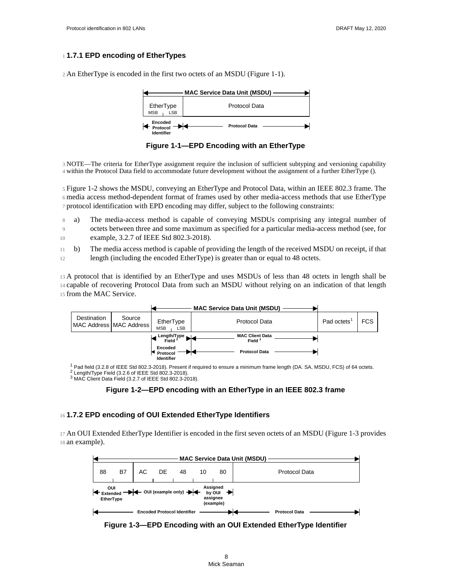#### <span id="page-9-0"></span>**1.7.1 EPD encoding of EtherTypes** 1

2 An EtherType is encoded in the first two octets of an MSDU (Figure 1-1).



**Figure 1-1—EPD Encoding with an EtherType**

NOTE—The criteria for EtherType assignment require the inclusion of sufficient subtyping and versioning capability 3 within the Protocol Data field to accommodate future development without the assignment of a further EtherType (). 4

[Figure 1-2](#page-9-3) shows the MSDU, conveying an EtherType and Protocol Data, within an IEEE 802.3 frame. The 5 media access method-dependent format of frames used by other media-access methods that use EtherType 6 7 protocol identification with EPD encoding may differ, subject to the following constraints:

a) The media-access method is capable of conveying MSDUs comprising any integral number of octets between three and some maximum as specified for a particular media-access method (see, for example, 3.2.7 of IEEE Std 802.3-2018). 8  $\overline{q}$ 10

b) The media access method is capable of providing the length of the received MSDU on receipt, if that length (including the encoded EtherType) is greater than or equal to 48 octets. 11 12

A protocol that is identified by an EtherType and uses MSDUs of less than 48 octets in length shall be 13 14 capable of recovering Protocol Data from such an MSDU without relying on an indication of that length 15 from the MAC Service.

<span id="page-9-3"></span>

 $^1$  Pad field (3.2.8 of IEEE Std 802.3-2018). Present if required to ensure a minimum frame length (DA. SA, MSDU, FCS) of 64 octets.<br><sup>2</sup> Length/Type Field (3.2.6 of IEEE Std 802.3-2018).

<span id="page-9-2"></span><sup>3</sup> MAC Client Data Field (3.2.7 of IEEE Std 802.3-2018).



#### <span id="page-9-1"></span>**1.7.2 EPD encoding of OUI Extended EtherType Identifiers** 16

<span id="page-9-4"></span>An OUI Extended EtherType Identifier is encoded in the first seven octets of an MSDU [\(Figure 1-3](#page-9-4) provides 17 18 an example).



<span id="page-9-5"></span>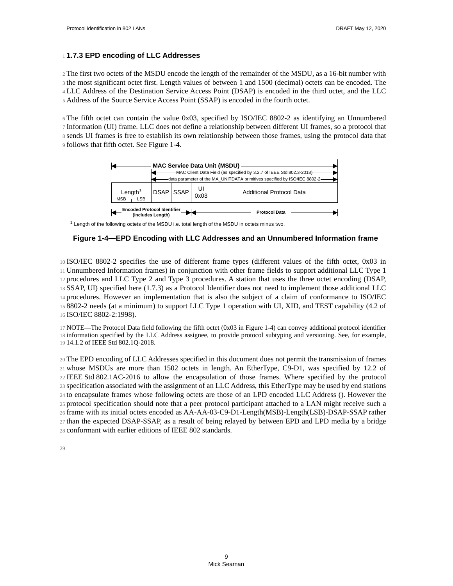#### <span id="page-10-0"></span>**1.7.3 EPD encoding of LLC Addresses** 1

2 The first two octets of the MSDU encode the length of the remainder of the MSDU, as a 16-bit number with 3 the most significant octet first. Length values of between 1 and 1500 (decimal) octets can be encoded. The LLC Address of the Destination Service Access Point (DSAP) is encoded in the third octet, and the LLC 4 Address of the Source Service Access Point (SSAP) is encoded in the fourth octet. 5

The fifth octet can contain the value 0x03, specified by ISO/IEC 8802-2 as identifying an Unnumbered 6 Information (UI) frame. LLC does not define a relationship between different UI frames, so a protocol that 7 sends UI frames is free to establish its own relationship between those frames, using the protocol data that 8 9 follows that fifth octet. See [Figure 1-4.](#page-10-1)



<sup>1</sup> Length of the following octets of the MSDU i.e. total length of the MSDU in octets minus two.

#### <span id="page-10-1"></span>**Figure 1-4—EPD Encoding with LLC Addresses and an Unnumbered Information frame**

ISO/IEC 8802-2 specifies the use of different frame types (different values of the fifth octet, 0x03 in 10 Unnumbered Information frames) in conjunction with other frame fields to support additional LLC Type 1 11 procedures and LLC Type 2 and Type 3 procedures. A station that uses the three octet encoding (DSAP, 12 SSAP, UI) specified here ([1.7.3\)](#page-10-0) as a Protocol Identifier does not need to implement those additional LLC 13 14 procedures. However an implementation that is also the subject of a claim of conformance to ISO/IEC 8802-2 needs (at a minimum) to support LLC Type 1 operation with UI, XID, and TEST capability (4.2 of 15 16 ISO/IEC 8802-2:1998).

NOTE—The Protocol Data field following the fifth octet (0x03 in [Figure 1-4\)](#page-10-1) can convey additional protocol identifier 17 18 information specified by the LLC Address assignee, to provide protocol subtyping and versioning. See, for example, 14.1.2 of IEEE Std 802.1Q-2018. 19

The EPD encoding of LLC Addresses specified in this document does not permit the transmission of frames 20 whose MSDUs are more than 1502 octets in length. An EtherType, C9-D1, was specified by 12.2 of 21 IEEE Std 802.1AC-2016 to allow the encapsulation of those frames. Where specified by the protocol 22 specification associated with the assignment of an LLC Address, this EtherType may be used by end stations 23 24 to encapsulate frames whose following octets are those of an LPD encoded LLC Address (). However the 25 protocol specification should note that a peer protocol participant attached to a LAN might receive such a frame with its initial octets encoded as AA-AA-03-C9-D1-Length(MSB)-Length(LSB)-DSAP-SSAP rather 26 27 than the expected DSAP-SSAP, as a result of being relayed by between EPD and LPD media by a bridge 28 conformant with earlier editions of IEEE 802 standards.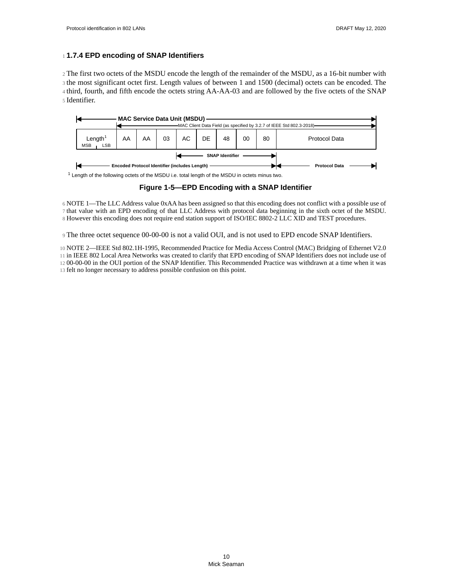#### <span id="page-11-0"></span>**1.7.4 EPD encoding of SNAP Identifiers** 1

2 The first two octets of the MSDU encode the length of the remainder of the MSDU, as a 16-bit number with 3 the most significant octet first. Length values of between 1 and 1500 (decimal) octets can be encoded. The 4 third, fourth, and fifth encode the octets string AA-AA-03 and are followed by the five octets of the SNAP Identifier. 5



<sup>1</sup> Length of the following octets of the MSDU i.e. total length of the MSDU in octets minus two.

#### **Figure 1-5—EPD Encoding with a SNAP Identifier**

NOTE 1—The LLC Address value 0xAA has been assigned so that this encoding does not conflict with a possible use of 6 7 that value with an EPD encoding of that LLC Address with protocol data beginning in the sixth octet of the MSDU. 8 However this encoding does not require end station support of ISO/IEC 8802-2 LLC XID and TEST procedures.

The three octet sequence 00-00-00 is not a valid OUI, and is not used to EPD encode SNAP Identifiers. 9

NOTE 2—IEEE Std 802.1H-1995, Recommended Practice for Media Access Control (MAC) Bridging of Ethernet V2.0 10 in IEEE 802 Local Area Networks was created to clarify that EPD encoding of SNAP Identifiers does not include use of 11 12 00-00-00 in the OUI portion of the SNAP Identifier. This Recommended Practice was withdrawn at a time when it was 13 felt no longer necessary to address possible confusion on this point.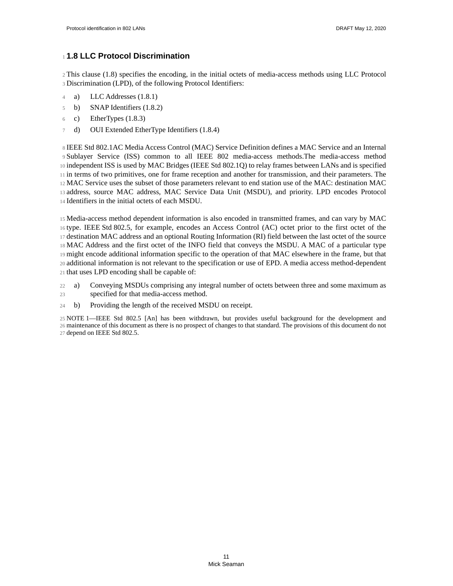# <span id="page-12-0"></span>**1.8 LLC Protocol Discrimination** 1

This clause [\(1.8\)](#page-12-0) specifies the encoding, in the initial octets of media-access methods using LLC Protocol 2 Discrimination (LPD), of the following Protocol Identifiers: 3

- a) LLC Addresses ([1.8.1\)](#page-13-1) 4
- b) SNAP Identifiers ([1.8.2\)](#page-13-0) 5
- c) EtherTypes [\(1.8.3](#page-14-0)) 6
- d) OUI Extended EtherType Identifiers [\(1.8.4](#page-14-1)) 7

8 IEEE Std 802.1AC Media Access Control (MAC) Service Definition defines a MAC Service and an Internal 9 Sublayer Service (ISS) common to all IEEE 802 media-access methods. The media-access method 10 independent ISS is used by MAC Bridges (IEEE Std 802.1Q) to relay frames between LANs and is specified in terms of two primitives, one for frame reception and another for transmission, and their parameters. The 11 MAC Service uses the subset of those parameters relevant to end station use of the MAC: destination MAC 12 13 address, source MAC address, MAC Service Data Unit (MSDU), and priority. LPD encodes Protocol 14 Identifiers in the initial octets of each MSDU.

Media-access method dependent information is also encoded in transmitted frames, and can vary by MAC 15 16 type. IEEE Std 802.5, for example, encodes an Access Control (AC) octet prior to the first octet of the 17 destination MAC address and an optional Routing Information (RI) field between the last octet of the source MAC Address and the first octet of the INFO field that conveys the MSDU. A MAC of a particular type 18 might encode additional information specific to the operation of that MAC elsewhere in the frame, but that 19 additional information is not relevant to the specification or use of EPD. A media access method-dependent 20 21 that uses LPD encoding shall be capable of:

- a) Conveying MSDUs comprising any integral number of octets between three and some maximum as specified for that media-access method. 22 23
- b) Providing the length of the received MSDU on receipt. 24

NOTE 1—IEEE Std 802.5 [An] has been withdrawn, but provides useful background for the development and 25 maintenance of this document as there is no prospect of changes to that standard. The provisions of this document do not 26 27 depend on IEEE Std 802.5.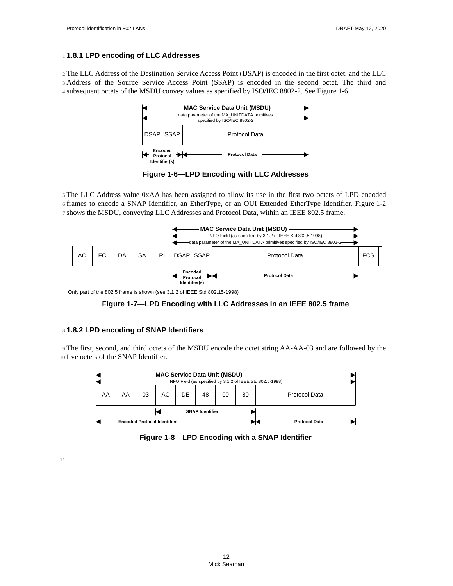#### <span id="page-13-1"></span>**1.8.1 LPD encoding of LLC Addresses** 1

<span id="page-13-2"></span>2 The LLC Address of the Destination Service Access Point (DSAP) is encoded in the first octet, and the LLC 3 Address of the Source Service Access Point (SSAP) is encoded in the second octet. The third and 4 subsequent octets of the MSDU convey values as specified by ISO/IEC 8802-2. See [Figure 1-6.](#page-13-2)



**Figure 1-6—LPD Encoding with LLC Addresses**

The LLC Address value 0xAA has been assigned to allow its use in the first two octets of LPD encoded 5 frames to encode a SNAP Identifier, an EtherType, or an OUI Extended EtherType Identifier. [Figure 1-2](#page-9-3) 6 7 shows the MSDU, conveying LLC Addresses and Protocol Data, within an IEEE 802.5 frame.



Only part of the 802.5 frame is shown (see 3.1.2 of IEEE Std 802.15-1998)



#### <span id="page-13-0"></span>**1.8.2 LPD encoding of SNAP Identifiers** 8

The first, second, and third octets of the MSDU encode the octet string AA-AA-03 and are followed by the 9 10 five octets of the SNAP Identifier.



**Figure 1-8—LPD Encoding with a SNAP Identifier**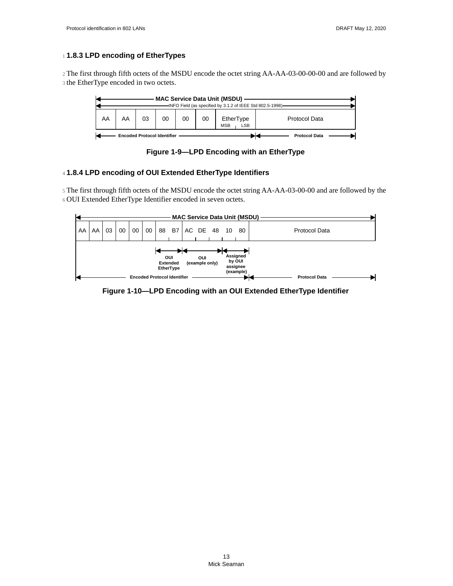# <span id="page-14-0"></span>**1.8.3 LPD encoding of EtherTypes** 1

2 The first through fifth octets of the MSDU encode the octet string AA-AA-03-00-00-00 and are followed by 3 the EtherType encoded in two octets.



**Figure 1-9—LPD Encoding with an EtherType**

# <span id="page-14-1"></span>**1.8.4 LPD encoding of OUI Extended EtherType Identifiers** 4

5 The first through fifth octets of the MSDU encode the octet string AA-AA-03-00-00 and are followed by the OUI Extended EtherType Identifier encoded in seven octets. 6



**Figure 1-10—LPD Encoding with an OUI Extended EtherType Identifier**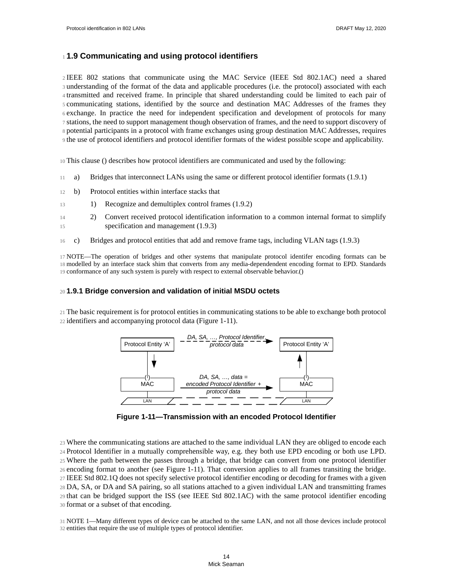# **1.9 Communicating and using protocol identifiers** 1

2 IEEE 802 stations that communicate using the MAC Service (IEEE Std 802.1AC) need a shared 3 understanding of the format of the data and applicable procedures (i.e. the protocol) associated with each 4 transmitted and received frame. In principle that shared understanding could be limited to each pair of communicating stations, identified by the source and destination MAC Addresses of the frames they 5  $6$  exchange. In practice the need for independent specification and development of protocols for many 7 stations, the need to support management though observation of frames, and the need to support discovery of potential participants in a protocol with frame exchanges using group destination MAC Addresses, requires 8 If the use of protocol identifiers and protocol identifier formats of the widest possible scope and applicability.

This clause () describes how protocol identifiers are communicated and used by the following: 10

- a) Bridges that interconnect LANs using the same or different protocol identifier formats ([1.9.1\)](#page-15-2) 11
- b) Protocol entities within interface stacks that 12
- 1) Recognize and demultiplex control frames ([1.9.2\)](#page-16-0) 13
- 2) Convert received protocol identification information to a common internal format to simplify specification and management [\(1.9.3](#page-17-0)) 14 15
- c) Bridges and protocol entities that add and remove frame tags, including VLAN tags ([1.9.3\)](#page-17-0) 16

NOTE—The operation of bridges and other systems that manipulate protocol identifer encoding formats can be 17 18 modelled by an interface stack shim that converts from any media-dependendent encoding format to EPD. Standards 19 conformance of any such system is purely with respect to external observable behavior.()

#### <span id="page-15-2"></span>**1.9.1 Bridge conversion and validation of initial MSDU octets** 20

<span id="page-15-1"></span>The basic requirement is for protocol entities in communicating stations to be able to exchange both protocol 21 22 identifiers and accompanying protocol data ([Figure 1-11\)](#page-15-1).



**Figure 1-11—Transmission with an encoded Protocol Identifier**

<span id="page-15-0"></span>Where the communicating stations are attached to the same individual LAN they are obliged to encode each 23 Protocol Identifier in a mutually comprehensible way, e.g. they both use EPD encoding or both use LPD. 24 Where the path between the passes through a bridge, that bridge can convert from one protocol identifier 25 encoding format to another (see [Figure 1-11](#page-15-1)). That conversion applies to all frames transiting the bridge. 26 IEEE Std 802.1Q does not specify selective protocol identifier encoding or decoding for frames with a given 27 DA, SA, or DA and SA pairing, so all stations attached to a given individual LAN and transmitting frames 28 that can be bridged support the ISS (see IEEE Std 802.1AC) with the same protocol identifier encoding 29 format or a subset of that encoding. 30

NOTE 1—Many different types of device can be attached to the same LAN, and not all those devices include protocol 31 32 entities that require the use of multiple types of protocol identifier.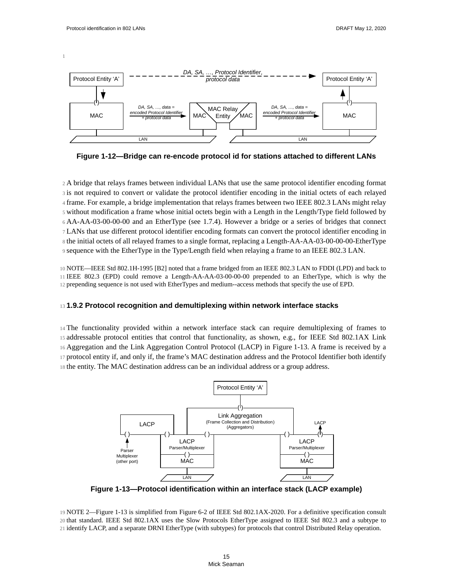1



**Figure 1-12—Bridge can re-encode protocol id for stations attached to different LANs**

A bridge that relays frames between individual LANs that use the same protocol identifier encoding format 2 3 is not required to convert or validate the protocol identifier encoding in the initial octets of each relayed frame. For example, a bridge implementation that relays frames between two IEEE 802.3 LANs might relay 4 without modification a frame whose initial octets begin with a Length in the Length/Type field followed by 5 AA-AA-03-00-00-00 and an EtherType (see [1.7.4\)](#page-11-0). However a bridge or a series of bridges that connect 6 LANs that use different protocol identifier encoding formats can convert the protocol identifier encoding in 7 8 the initial octets of all relayed frames to a single format, replacing a Length-AA-AA-03-00-00-00-EtherType sequence with the EtherType in the Type/Length field when relaying a frame to an IEEE 802.3 LAN. 9

NOTE—IEEE Std 802.1H-1995 [B2] noted that a frame bridged from an IEEE 802.3 LAN to FDDI (LPD) and back to 10 IEEE 802.3 (EPD) could remove a Length-AA-AA-03-00-00-00 prepended to an EtherType, which is why the 11 12 prepending sequence is not used with EtherTypes and medium--access methods that specify the use of EPD.

## <span id="page-16-0"></span>**1.9.2 Protocol recognition and demultiplexing within network interface stacks** 13

14 The functionality provided within a network interface stack can require demultiplexing of frames to 15 addressable protocol entities that control that functionality, as shown, e.g., for IEEE Std 802.1AX Link Aggregation and the Link Aggregation Control Protocol (LACP) in [Figure 1-13.](#page-16-1) A frame is received by a 16 protocol entity if, and only if, the frame's MAC destination address and the Protocol Identifier both identify 17 18 the entity. The MAC destination address can be an individual address or a group address.

<span id="page-16-1"></span>

<span id="page-16-2"></span>**Figure 1-13—Protocol identification within an interface stack (LACP example)**

NOTE 2—[Figure 1-13](#page-16-1) is simplified from Figure 6-2 of IEEE Std 802.1AX-2020. For a definitive specification consult 19 20 that standard. IEEE Std 802.1AX uses the Slow Protocols EtherType assigned to IEEE Std 802.3 and a subtype to 21 identify LACP, and a separate DRNI EtherType (with subtypes) for protocols that control Distributed Relay operation.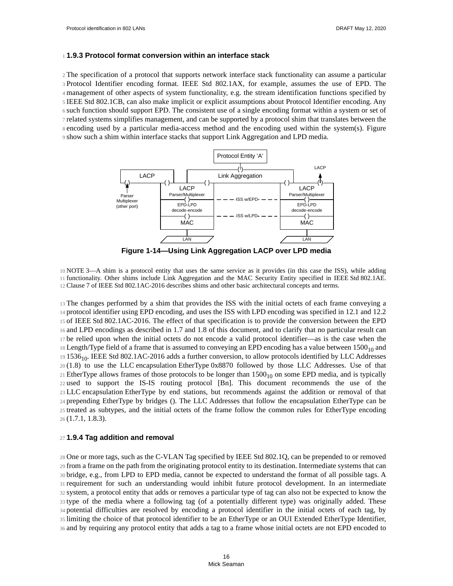#### <span id="page-17-0"></span>**1.9.3 Protocol format conversion within an interface stack** 1

The specification of a protocol that supports network interface stack functionality can assume a particular 2 3 Protocol Identifier encoding format. IEEE Std 802.1AX, for example, assumes the use of EPD. The management of other aspects of system functionality, e.g. the stream identification functions specified by 4 5 IEEE Std 802.1CB, can also make implicit or explicit assumptions about Protocol Identifier encoding. Any such function should support EPD. The consistent use of a single encoding format within a system or set of 6 7 related systems simplifies management, and can be supported by a protocol shim that translates between the s encoding used by a particular media-access method and the encoding used within the system(s). Figure 9 show such a shim within interface stacks that support Link Aggregation and LPD media.



**Figure 1-14—Using Link Aggregation LACP over LPD media**

<span id="page-17-1"></span>NOTE 3—A shim is a protocol entity that uses the same service as it provides (in this case the ISS), while adding 10 functionality. Other shims include Link Aggregation and the MAC Security Entity specified in IEEE Std 802.1AE. 11 Clause 7 of IEEE Std 802.1AC-2016 describes shims and other basic architectural concepts and terms. 12

The changes performed by a shim that provides the ISS with the initial octets of each frame conveying a 13 protocol identifier using EPD encoding, and uses the ISS with LPD encoding was specified in 12.1 and 12.2 14 15 of IEEE Std 802.1AC-2016. The effect of that specification is to provide the conversion between the EPD and LPD encodings as described in [1.7](#page-8-0) and [1.8](#page-12-0) of this document, and to clarify that no particular result can 16 be relied upon when the initial octets do not encode a valid protocol identifier—as is the case when the 17 18 Length/Type field of a frame that is assumed to conveying an EPD encoding has a value between  $1500_{10}$  and <sup>19</sup> 1536<sub>10</sub>. IEEE Std 802.1AC-2016 adds a further conversion, to allow protocols identified by LLC Addresses  $20(1.8)$  $20(1.8)$  to use the LLC encapsulation EtherType  $0x8870$  followed by those LLC Addresses. Use of that  $21$  EtherType allows frames of those protocols to be longer than  $1500_{10}$  on some EPD media, and is typically 22 used to support the IS-IS routing protocol [Bn]. This document recommends the use of the LLC encapsulation EtherType by end stations, but recommends against the addition or removal of that 23 prepending EtherType by bridges (). The LLC Addresses that follow the encapsulation EtherType can be 24 25 treated as subtypes, and the initial octets of the frame follow the common rules for EtherType encoding [\(1.7.1](#page-9-0), [1.8.3](#page-14-0)). 26

#### **1.9.4 Tag addition and removal** 27

One or more tags, such as the C-VLAN Tag specified by IEEE Std 802.1Q, can be prepended to or removed 28 from a frame on the path from the originating protocol entity to its destination. Intermediate systems that can 29 bridge, e.g., from LPD to EPD media, cannot be expected to understand the format of all possible tags. A 30 31 requirement for such an understanding would inhibit future protocol development. In an intermediate system, a protocol entity that adds or removes a particular type of tag can also not be expected to know the 32 33 type of the media where a following tag (of a potentially different type) was originally added. These potential difficulties are resolved by encoding a protocol identifier in the initial octets of each tag, by 34 limiting the choice of that protocol identifier to be an EtherType or an OUI Extended EtherType Identifier, 35 and by requiring any protocol entity that adds a tag to a frame whose initial octets are not EPD encoded to 36